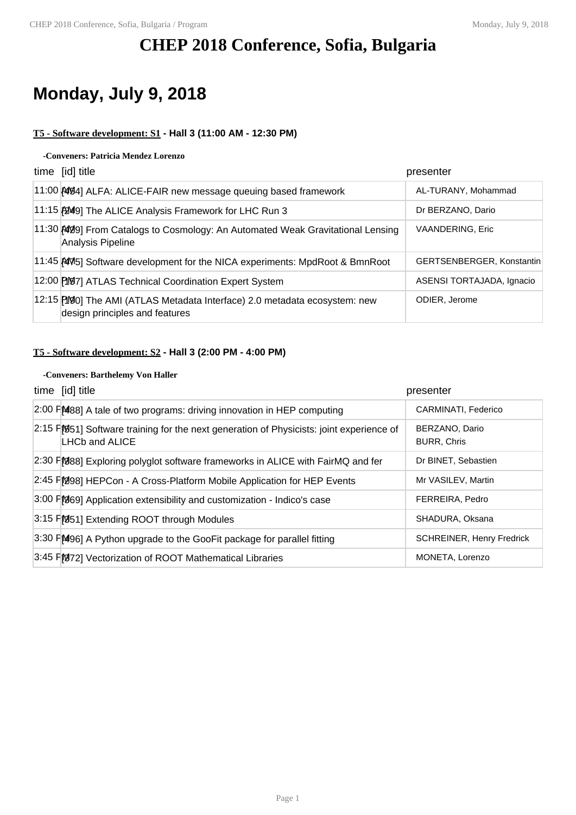## **CHEP 2018 Conference, Sofia, Bulgaria**

## **Monday, July 9, 2018**

## **T5 - Software development: S1 - Hall 3 (11:00 AM - 12:30 PM)**

### **-Conveners: Patricia Mendez Lorenzo**

| time [id] title                                                                                              | presenter                 |
|--------------------------------------------------------------------------------------------------------------|---------------------------|
| 11:00 AM94] ALFA: ALICE-FAIR new message queuing based framework                                             | AL-TURANY, Mohammad       |
| 11:15 [2049] The ALICE Analysis Framework for LHC Run 3                                                      | Dr BERZANO, Dario         |
| 11:30 [409] From Catalogs to Cosmology: An Automated Weak Gravitational Lensing<br>Analysis Pipeline         | <b>VAANDERING, Eric</b>   |
| 11:45 AM5] Software development for the NICA experiments: MpdRoot & BmnRoot                                  | GERTSENBERGER, Konstantin |
| 12:00 [197] ATLAS Technical Coordination Expert System                                                       | ASENSI TORTAJADA, Ignacio |
| 12:15 [190] The AMI (ATLAS Metadata Interface) 2.0 metadata ecosystem: new<br>design principles and features | ODIER, Jerome             |

## **T5 - Software development: S2 - Hall 3 (2:00 PM - 4:00 PM)**

#### **-Conveners: Barthelemy Von Haller**

| time [id] title                                                                                                            | presenter                            |
|----------------------------------------------------------------------------------------------------------------------------|--------------------------------------|
| 2:00 FM88] A tale of two programs: driving innovation in HEP computing                                                     | CARMINATI, Federico                  |
| $2:15$ $\Gamma$ 951] Software training for the next generation of Physicists: joint experience of<br><b>LHCb and ALICE</b> | BERZANO, Dario<br><b>BURR, Chris</b> |
| 2:30 FM888] Exploring polyglot software frameworks in ALICE with FairMQ and fer                                            | Dr BINET, Sebastien                  |
| 2:45 FM98] HEPCon - A Cross-Platform Mobile Application for HEP Events                                                     | Mr VASILEV, Martin                   |
| 3:00 F[969] Application extensibility and customization - Indico's case                                                    | FERREIRA, Pedro                      |
| 3:15 FM51] Extending ROOT through Modules                                                                                  | SHADURA, Oksana                      |
| 3:30 FM96] A Python upgrade to the GooFit package for parallel fitting                                                     | <b>SCHREINER, Henry Fredrick</b>     |
| 3:45 FM972] Vectorization of ROOT Mathematical Libraries                                                                   | MONETA, Lorenzo                      |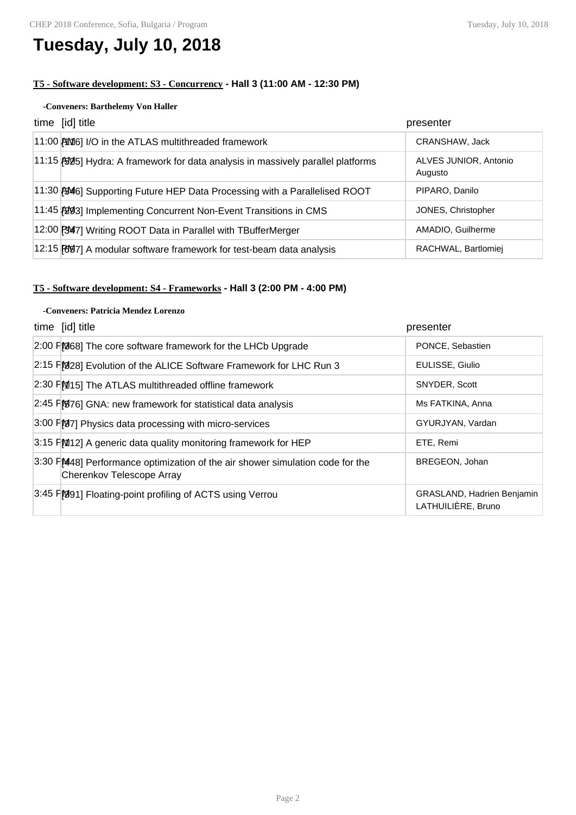## **Tuesday, July 10, 2018**

## **T5 - Software development: S3 - Concurrency - Hall 3 (11:00 AM - 12:30 PM)**

### **-Conveners: Barthelemy Von Haller**

| time [id] title                                                                   | presenter                        |
|-----------------------------------------------------------------------------------|----------------------------------|
| 11:00 AM6] I/O in the ATLAS multithreaded framework                               | CRANSHAW, Jack                   |
| 11:15 [5095] Hydra: A framework for data analysis in massively parallel platforms | ALVES JUNIOR, Antonio<br>Augusto |
| 11:30 BM6] Supporting Future HEP Data Processing with a Parallelised ROOT         | PIPARO, Danilo                   |
| 11:45 [20] Implementing Concurrent Non-Event Transitions in CMS                   | JONES, Christopher               |
| 12:00 [347] Writing ROOT Data in Parallel with TBufferMerger                      | AMADIO, Guilherme                |
| 12:15 [697] A modular software framework for test-beam data analysis              | RACHWAL, Bartlomiej              |

## **T5 - Software development: S4 - Frameworks - Hall 3 (2:00 PM - 4:00 PM)**

### **-Conveners: Patricia Mendez Lorenzo**

| time [id] title                                                                                             | presenter                                        |
|-------------------------------------------------------------------------------------------------------------|--------------------------------------------------|
| 2:00 FM68] The core software framework for the LHCb Upgrade                                                 | PONCE, Sebastien                                 |
| 2:15 FM28] Evolution of the ALICE Software Framework for LHC Run 3                                          | EULISSE, Giulio                                  |
| 2:30 FM15] The ATLAS multithreaded offline framework                                                        | SNYDER, Scott                                    |
| 2:45 F[076] GNA: new framework for statistical data analysis                                                | Ms FATKINA, Anna                                 |
| 3:00 FB7] Physics data processing with micro-services                                                       | GYURJYAN, Vardan                                 |
| 3:15 FM12] A generic data quality monitoring framework for HEP                                              | ETE, Remi                                        |
| 3:30 F[M48] Performance optimization of the air shower simulation code for the<br>Cherenkov Telescope Array | BREGEON, Johan                                   |
| 3:45 FM911 Floating-point profiling of ACTS using Verrou                                                    | GRASLAND, Hadrien Benjamin<br>LATHUILIÈRE, Bruno |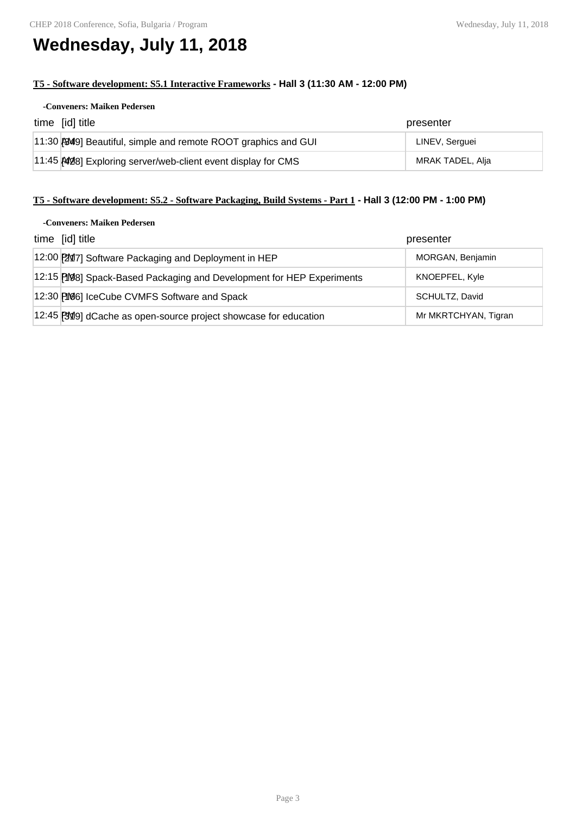# **Wednesday, July 11, 2018**

## **T5 - Software development: S5.1 Interactive Frameworks - Hall 3 (11:30 AM - 12:00 PM)**

### **-Conveners: Maiken Pedersen**

| time [id] title                                                | presenter        |
|----------------------------------------------------------------|------------------|
| 11:30 (949) Beautiful, simple and remote ROOT graphics and GUI | LINEV, Serguei   |
| 11:45 AM28] Exploring server/web-client event display for CMS  | MRAK TADEL, Alja |

## **T5 - Software development: S5.2 - Software Packaging, Build Systems - Part 1 - Hall 3 (12:00 PM - 1:00 PM)**

#### **-Conveners: Maiken Pedersen**

| time [id] title                                                       | presenter            |
|-----------------------------------------------------------------------|----------------------|
| 12:00 [2017] Software Packaging and Deployment in HEP                 | MORGAN, Benjamin     |
| 12:15 [198] Spack-Based Packaging and Development for HEP Experiments | KNOEPFEL, Kyle       |
| 12:30 [166] IceCube CVMFS Software and Spack                          | SCHULTZ, David       |
| 12:45 [3019] dCache as open-source project showcase for education     | Mr MKRTCHYAN, Tigran |